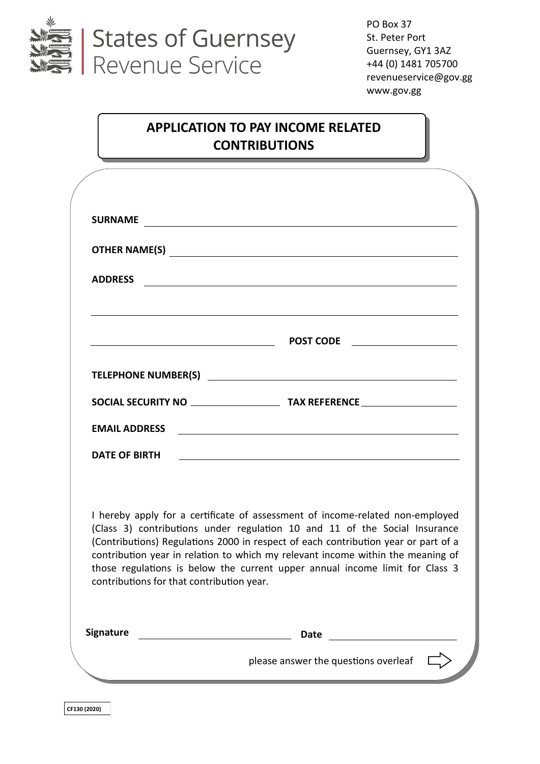

PO Box 37 St. Peter Port Guernsey, GY1 3AZ +44 (0) 1481 705700 revenueservice@gov.gg www.gov.gg

# **APPLICATION TO PAY INCOME RELATED CONTRIBUTIONS**

|                      | SURNAME <b>And All Contracts</b> and the contract of the contract of the contract of the contract of the contract of the contract of the contract of the contract of the contract of the contract of the contract of the contract o                                                                                                                                                                                                                               |
|----------------------|-------------------------------------------------------------------------------------------------------------------------------------------------------------------------------------------------------------------------------------------------------------------------------------------------------------------------------------------------------------------------------------------------------------------------------------------------------------------|
|                      |                                                                                                                                                                                                                                                                                                                                                                                                                                                                   |
| <b>ADDRESS</b>       | <u> 1989 - Johann Stoff, deutscher Stoffen und der Stoffen und der Stoffen und der Stoffen und der Stoffen und der</u>                                                                                                                                                                                                                                                                                                                                            |
|                      | and the control of the control of the control of the control of the control of the control of the control of the<br>$\begin{array}{cccccccccccccc} & & & & & & \textbf{POST CODE} & & & \textbf{---} & \textbf{---} & \ \hline \end{array}$                                                                                                                                                                                                                       |
|                      |                                                                                                                                                                                                                                                                                                                                                                                                                                                                   |
|                      |                                                                                                                                                                                                                                                                                                                                                                                                                                                                   |
| <b>EMAIL ADDRESS</b> | <u> 1989 - Johann Barn, mars eta bainar eta bainar eta baina eta baina eta baina eta baina eta baina eta baina e</u>                                                                                                                                                                                                                                                                                                                                              |
| <b>DATE OF BIRTH</b> | <u> 1980 - Johann Stoff, deutscher Stoffen und der Stoffen und der Stoffen und der Stoffen und der Stoffen und de</u>                                                                                                                                                                                                                                                                                                                                             |
|                      | I hereby apply for a certificate of assessment of income-related non-employed<br>(Class 3) contributions under regulation 10 and 11 of the Social Insurance<br>(Contributions) Regulations 2000 in respect of each contribution year or part of a<br>contribution year in relation to which my relevant income within the meaning of<br>those regulations is below the current upper annual income limit for Class 3<br>contributions for that contribution year. |
| <b>Signature</b>     | <b>Date</b>                                                                                                                                                                                                                                                                                                                                                                                                                                                       |
|                      | please answer the questions overleaf                                                                                                                                                                                                                                                                                                                                                                                                                              |

**CF130 (2020)**